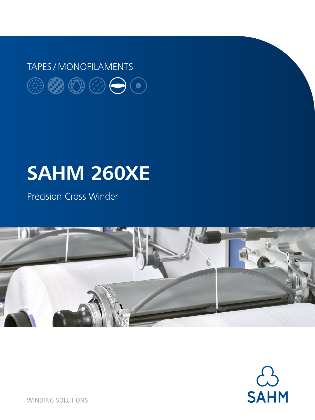## TAPES / MONOFILAMENTS $\circledcircledast \circledast \circledcirc \bullet \circledcirc$

# **SAHM 260XE**

Precision Cross Winder





**WINDING SOLUTIONS**